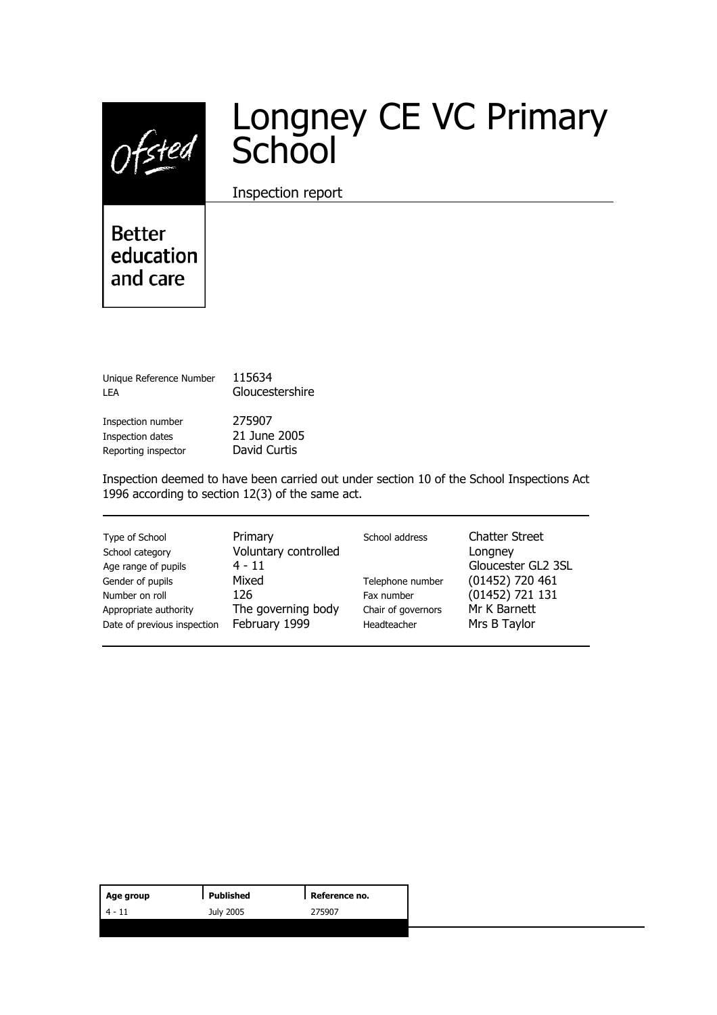$0$ fsted

# Longney CE VC Primary School

Inspection report

**Better** education and care

| Unique Reference Number<br>I FA | 115634<br>Gloucestershire |
|---------------------------------|---------------------------|
| Inspection number               | 275907                    |
| Inspection dates                | 21 June 2005              |
| Reporting inspector             | David Curtis              |

Inspection deemed to have been carried out under section 10 of the School Inspections Act 1996 according to section 12(3) of the same act.

| Type of School<br>School category<br>Age range of pupils<br>Gender of pupils<br>Number on roll<br>Appropriate authority<br>Date of previous inspection | Primary<br>Voluntary controlled<br>$4 - 11$<br>Mixed<br>126<br>The governing body<br>February 1999 | School address<br>Telephone number<br>Fax number<br>Chair of governors<br>Headteacher | <b>Chatter Street</b><br>Longney<br>Gloucester GL2 3SL<br>$(01452)$ 720 461<br>(01452) 721 131<br>Mr K Barnett<br>Mrs B Taylor |
|--------------------------------------------------------------------------------------------------------------------------------------------------------|----------------------------------------------------------------------------------------------------|---------------------------------------------------------------------------------------|--------------------------------------------------------------------------------------------------------------------------------|
|--------------------------------------------------------------------------------------------------------------------------------------------------------|----------------------------------------------------------------------------------------------------|---------------------------------------------------------------------------------------|--------------------------------------------------------------------------------------------------------------------------------|

| Age group | Published | Reference no. |
|-----------|-----------|---------------|
| - 11      | July 2005 | 275907        |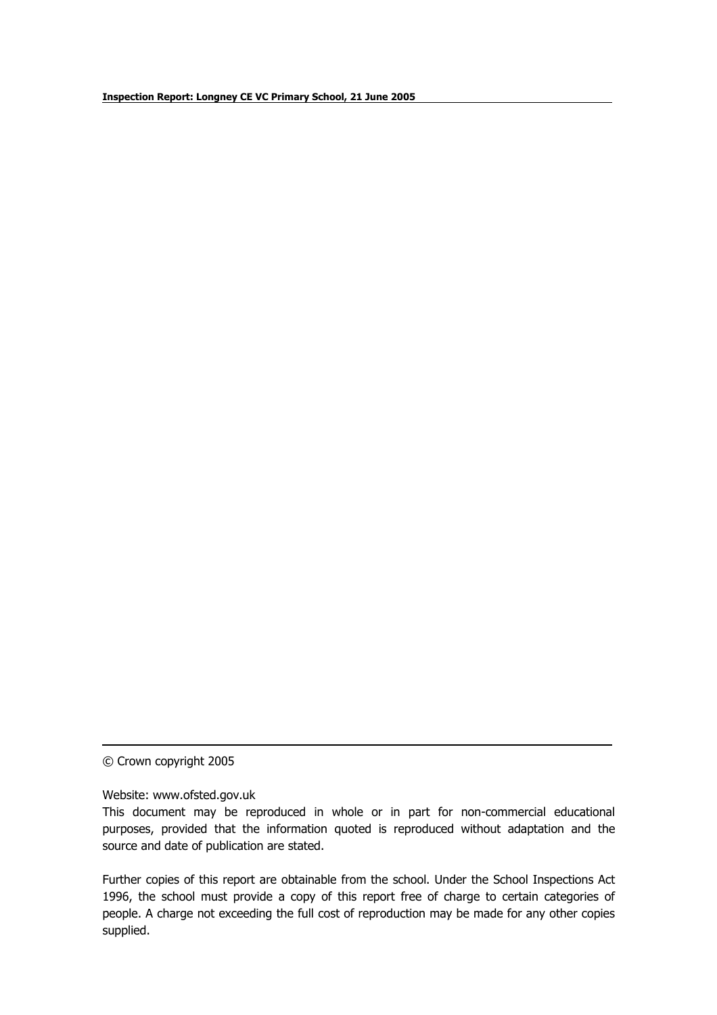© Crown copyright 2005

Website: www.ofsted.gov.uk

Further copies of this report are obtainable from the school. Under the School Inspections Act 1996, the school must provide a copy of this report free of charge to certain categories of people. A charge not exceeding the full cost of reproduction may be made for any other copies supplied.

This document may be reproduced in whole or in part for non-commercial educational purposes, provided that the information quoted is reproduced without adaptation and the source and date of publication are stated.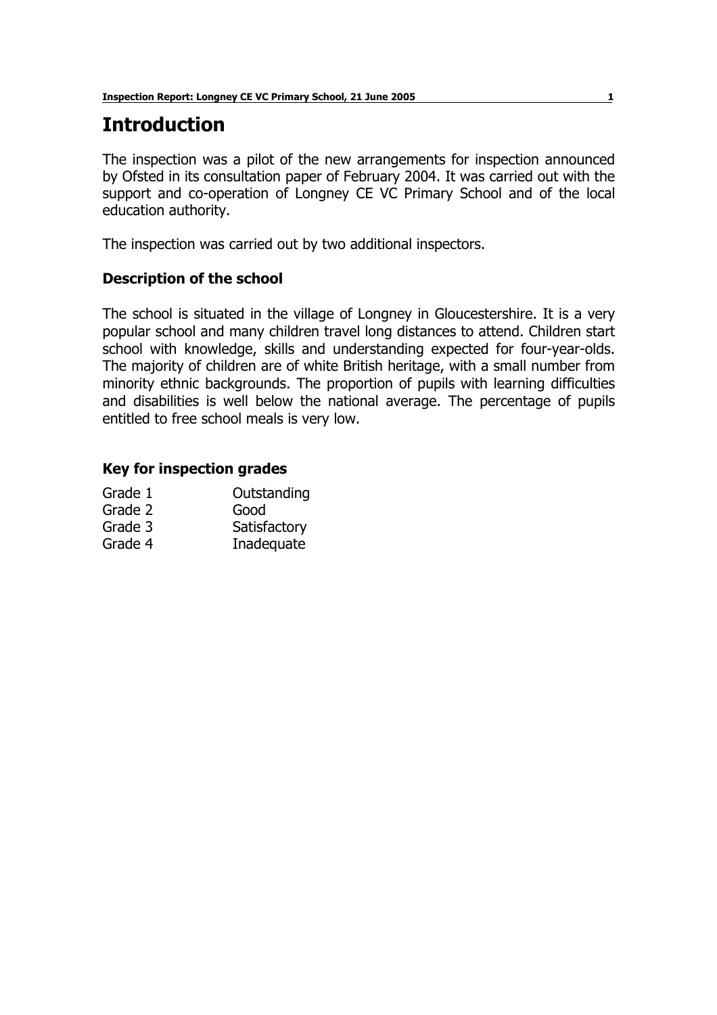### **Introduction**

The inspection was a pilot of the new arrangements for inspection announced by Ofsted in its consultation paper of February 2004. It was carried out with the support and co-operation of Longney CE VC Primary School and of the local education authority.

The inspection was carried out by two additional inspectors.

#### **Description of the school**

The school is situated in the village of Longney in Gloucestershire. It is a very popular school and many children travel long distances to attend. Children start school with knowledge, skills and understanding expected for four-year-olds. The majority of children are of white British heritage, with a small number from minority ethnic backgrounds. The proportion of pupils with learning difficulties and disabilities is well below the national average. The percentage of pupils entitled to free school meals is very low.

#### **Key for inspection grades**

| Grade 1 | Outstanding  |
|---------|--------------|
| Grade 2 | Good         |
| Grade 3 | Satisfactory |
| Grade 4 | Inadequate   |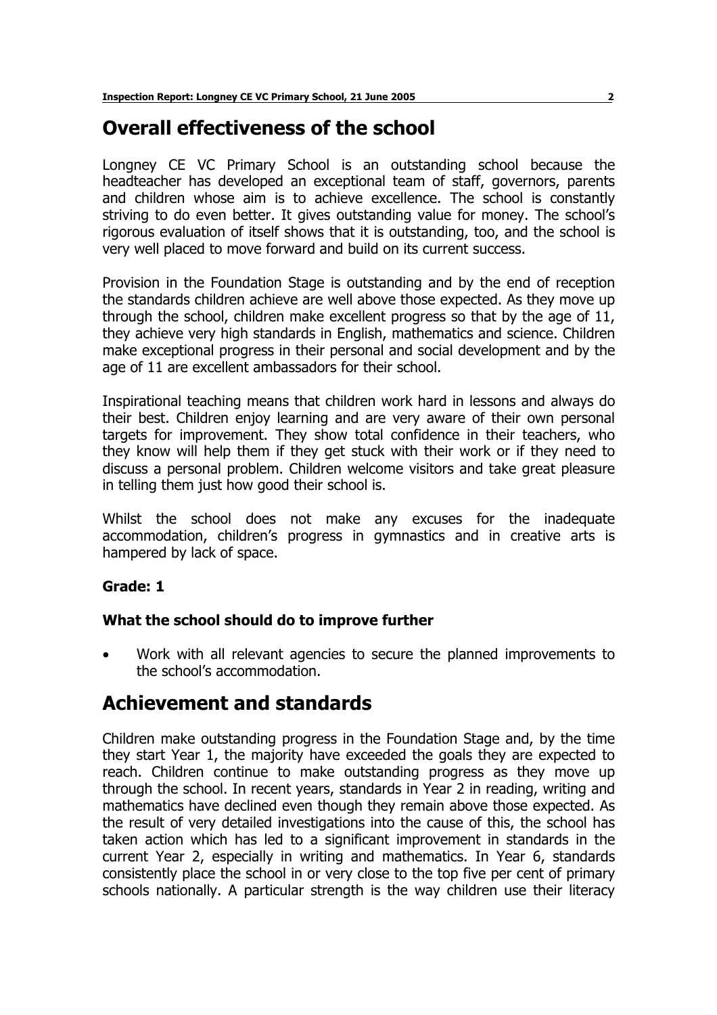### **Overall effectiveness of the school**

Longney CE VC Primary School is an outstanding school because the headteacher has developed an exceptional team of staff, governors, parents and children whose aim is to achieve excellence. The school is constantly striving to do even better. It gives outstanding value for money. The school's rigorous evaluation of itself shows that it is outstanding, too, and the school is very well placed to move forward and build on its current success.

Provision in the Foundation Stage is outstanding and by the end of reception the standards children achieve are well above those expected. As they move up through the school, children make excellent progress so that by the age of 11, they achieve very high standards in English, mathematics and science. Children make exceptional progress in their personal and social development and by the age of 11 are excellent ambassadors for their school.

Inspirational teaching means that children work hard in lessons and always do their best. Children enjoy learning and are very aware of their own personal targets for improvement. They show total confidence in their teachers, who they know will help them if they get stuck with their work or if they need to discuss a personal problem. Children welcome visitors and take great pleasure in telling them just how good their school is.

Whilst the school does not make any excuses for the inadequate accommodation, children's progress in gymnastics and in creative arts is hampered by lack of space.

#### **Grade: 1**

#### **What the school should do to improve further**

• Work with all relevant agencies to secure the planned improvements to the school's accommodation.

### **Achievement and standards**

Children make outstanding progress in the Foundation Stage and, by the time they start Year 1, the majority have exceeded the goals they are expected to reach. Children continue to make outstanding progress as they move up through the school. In recent years, standards in Year 2 in reading, writing and mathematics have declined even though they remain above those expected. As the result of very detailed investigations into the cause of this, the school has taken action which has led to a significant improvement in standards in the current Year 2, especially in writing and mathematics. In Year 6, standards consistently place the school in or very close to the top five per cent of primary schools nationally. A particular strength is the way children use their literacy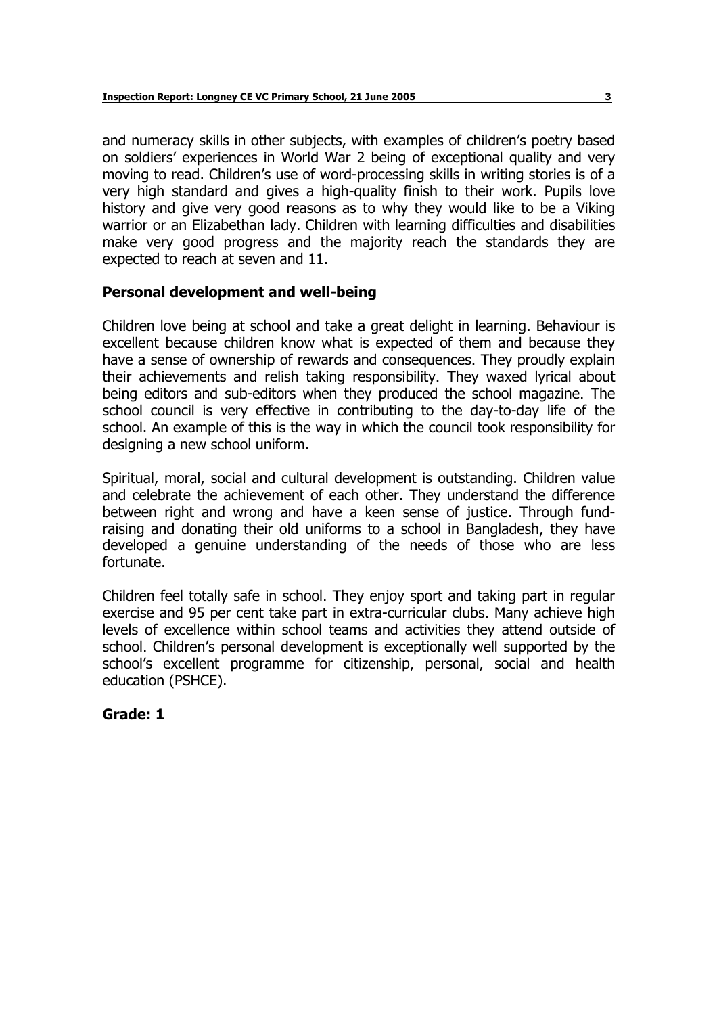and numeracy skills in other subjects, with examples of children's poetry based on soldiersí experiences in World War 2 being of exceptional quality and very moving to read. Children's use of word-processing skills in writing stories is of a very high standard and gives a high-quality finish to their work. Pupils love history and give very good reasons as to why they would like to be a Viking warrior or an Elizabethan lady. Children with learning difficulties and disabilities make very good progress and the majority reach the standards they are expected to reach at seven and 11.

#### **Personal development and well-being**

Children love being at school and take a great delight in learning. Behaviour is excellent because children know what is expected of them and because they have a sense of ownership of rewards and consequences. They proudly explain their achievements and relish taking responsibility. They waxed lyrical about being editors and sub-editors when they produced the school magazine. The school council is very effective in contributing to the day-to-day life of the school. An example of this is the way in which the council took responsibility for designing a new school uniform.

Spiritual, moral, social and cultural development is outstanding. Children value and celebrate the achievement of each other. They understand the difference between right and wrong and have a keen sense of justice. Through fundraising and donating their old uniforms to a school in Bangladesh, they have developed a genuine understanding of the needs of those who are less fortunate.

Children feel totally safe in school. They enjoy sport and taking part in regular exercise and 95 per cent take part in extra-curricular clubs. Many achieve high levels of excellence within school teams and activities they attend outside of school. Children's personal development is exceptionally well supported by the school's excellent programme for citizenship, personal, social and health education (PSHCE).

**Grade: 1**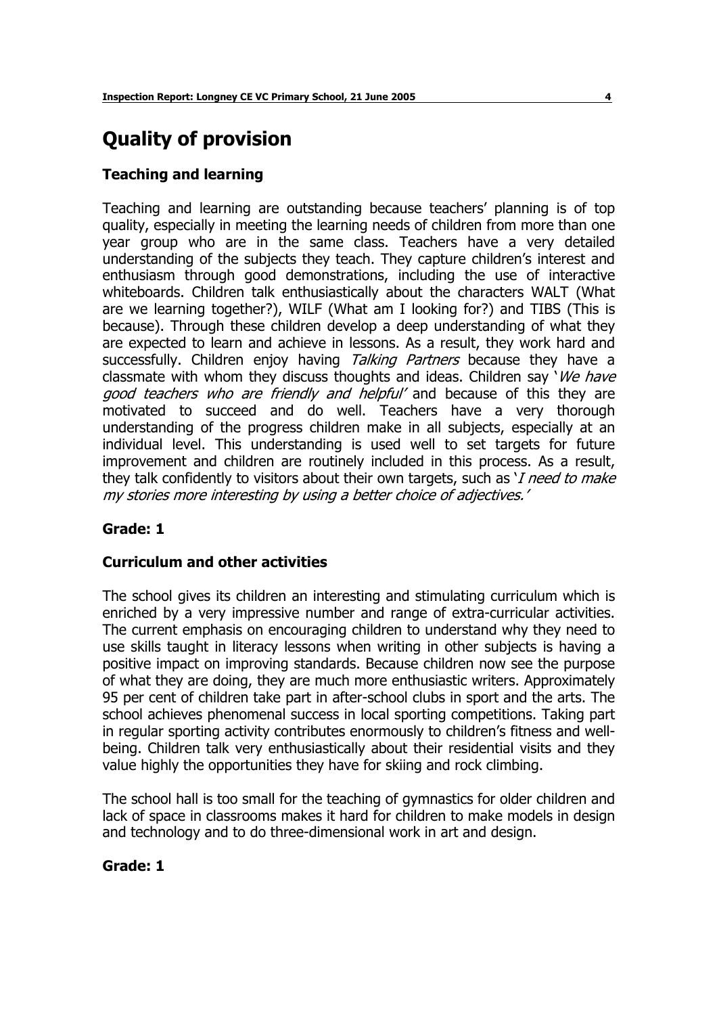## **Quality of provision**

#### **Teaching and learning**

Teaching and learning are outstanding because teachersí planning is of top quality, especially in meeting the learning needs of children from more than one year group who are in the same class. Teachers have a very detailed understanding of the subjects they teach. They capture children's interest and enthusiasm through good demonstrations, including the use of interactive whiteboards. Children talk enthusiastically about the characters WALT (What are we learning together?), WILF (What am I looking for?) and TIBS (This is because). Through these children develop a deep understanding of what they are expected to learn and achieve in lessons. As a result, they work hard and successfully. Children enjoy having Talking Partners because they have a classmate with whom they discuss thoughts and ideas. Children say 'We have good teachers who are friendly and helpful' and because of this they are motivated to succeed and do well. Teachers have a very thorough understanding of the progress children make in all subjects, especially at an individual level. This understanding is used well to set targets for future improvement and children are routinely included in this process. As a result, they talk confidently to visitors about their own targets, such as  $I$  need to make my stories more interesting by using a better choice of adjectives.'

#### **Grade: 1**

#### **Curriculum and other activities**

The school gives its children an interesting and stimulating curriculum which is enriched by a very impressive number and range of extra-curricular activities. The current emphasis on encouraging children to understand why they need to use skills taught in literacy lessons when writing in other subjects is having a positive impact on improving standards. Because children now see the purpose of what they are doing, they are much more enthusiastic writers. Approximately 95 per cent of children take part in after-school clubs in sport and the arts. The school achieves phenomenal success in local sporting competitions. Taking part in regular sporting activity contributes enormously to children's fitness and wellbeing. Children talk very enthusiastically about their residential visits and they value highly the opportunities they have for skiing and rock climbing.

The school hall is too small for the teaching of gymnastics for older children and lack of space in classrooms makes it hard for children to make models in design and technology and to do three-dimensional work in art and design.

#### **Grade: 1**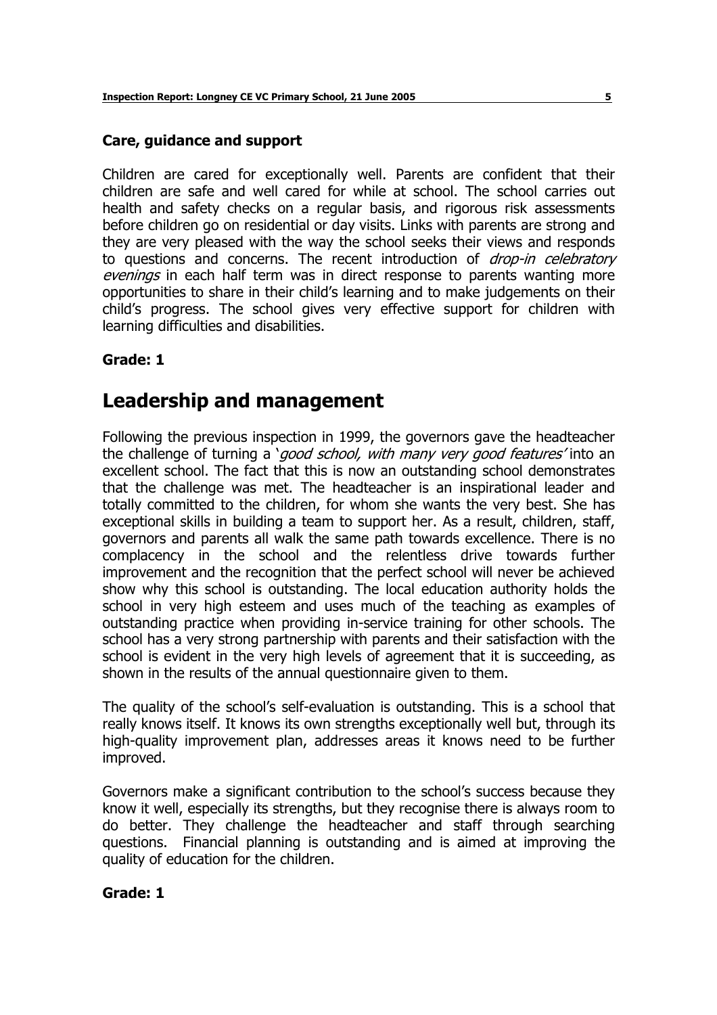#### **Care, guidance and support**

Children are cared for exceptionally well. Parents are confident that their children are safe and well cared for while at school. The school carries out health and safety checks on a regular basis, and rigorous risk assessments before children go on residential or day visits. Links with parents are strong and they are very pleased with the way the school seeks their views and responds to questions and concerns. The recent introduction of *drop-in celebratory* evenings in each half term was in direct response to parents wanting more opportunities to share in their childís learning and to make judgements on their childís progress. The school gives very effective support for children with learning difficulties and disabilities.

#### **Grade: 1**

### **Leadership and management**

Following the previous inspection in 1999, the governors gave the headteacher the challenge of turning a 'good school, with many very good features' into an excellent school. The fact that this is now an outstanding school demonstrates that the challenge was met. The headteacher is an inspirational leader and totally committed to the children, for whom she wants the very best. She has exceptional skills in building a team to support her. As a result, children, staff, governors and parents all walk the same path towards excellence. There is no complacency in the school and the relentless drive towards further improvement and the recognition that the perfect school will never be achieved show why this school is outstanding. The local education authority holds the school in very high esteem and uses much of the teaching as examples of outstanding practice when providing in-service training for other schools. The school has a very strong partnership with parents and their satisfaction with the school is evident in the very high levels of agreement that it is succeeding, as shown in the results of the annual questionnaire given to them.

The quality of the school's self-evaluation is outstanding. This is a school that really knows itself. It knows its own strengths exceptionally well but, through its high-quality improvement plan, addresses areas it knows need to be further improved.

Governors make a significant contribution to the schoolís success because they know it well, especially its strengths, but they recognise there is always room to do better. They challenge the headteacher and staff through searching questions. Financial planning is outstanding and is aimed at improving the quality of education for the children.

#### **Grade: 1**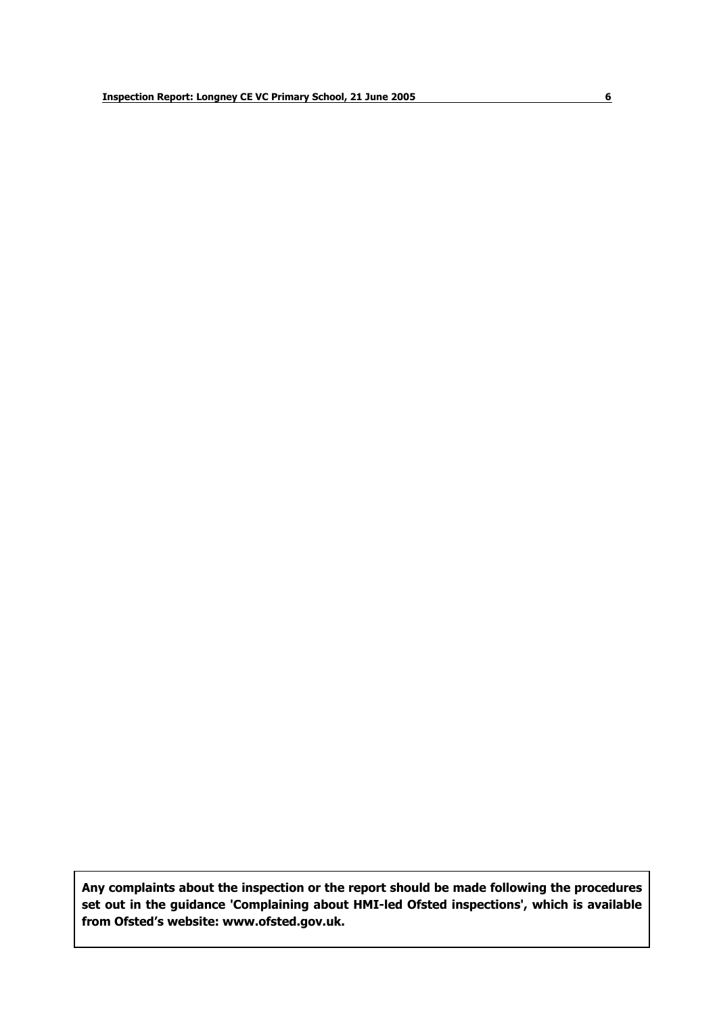**Any complaints about the inspection or the report should be made following the procedures set out in the guidance 'Complaining about HMI-led Ofsted inspections', which is available from Ofstedís website: www.ofsted.gov.uk.**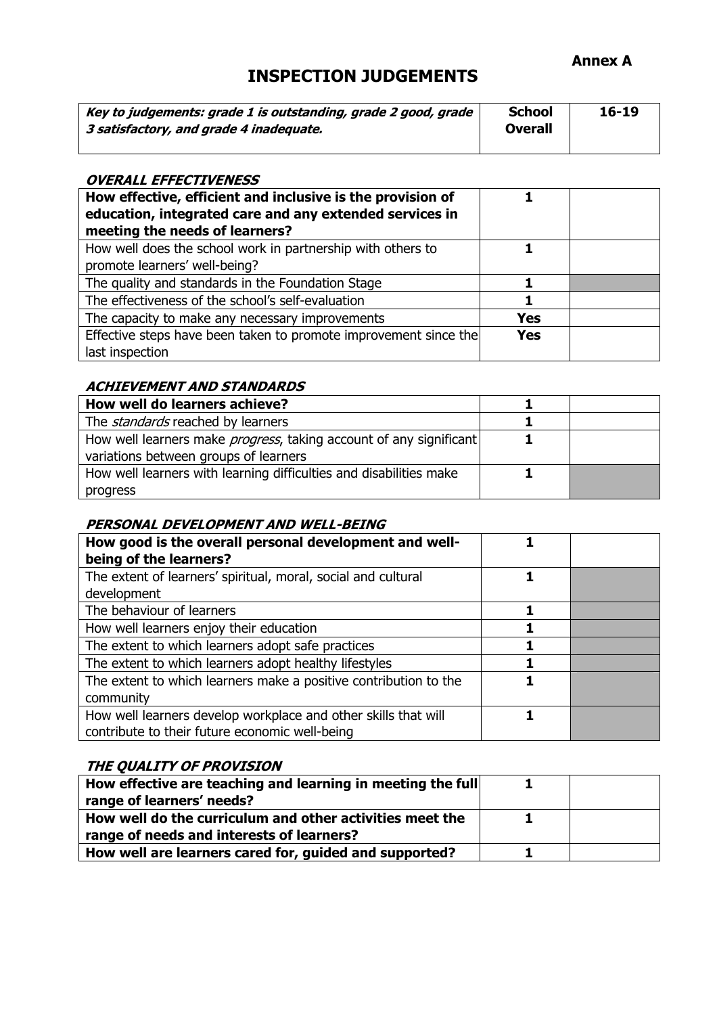#### **Annex A**

### **INSPECTION JUDGEMENTS**

| Key to judgements: grade 1 is outstanding, grade 2 good, grade | <b>School</b>  | $16 - 19$ |
|----------------------------------------------------------------|----------------|-----------|
| 3 satisfactory, and grade 4 inadequate.                        | <b>Overall</b> |           |
|                                                                |                |           |

#### **OVERALL EFFECTIVENESS**

| How effective, efficient and inclusive is the provision of<br>education, integrated care and any extended services in<br>meeting the needs of learners? |            |  |
|---------------------------------------------------------------------------------------------------------------------------------------------------------|------------|--|
| How well does the school work in partnership with others to<br>promote learners' well-being?                                                            |            |  |
| The quality and standards in the Foundation Stage                                                                                                       |            |  |
| The effectiveness of the school's self-evaluation                                                                                                       |            |  |
| The capacity to make any necessary improvements                                                                                                         | Yes        |  |
| Effective steps have been taken to promote improvement since the<br>last inspection                                                                     | <b>Yes</b> |  |

#### **ACHIEVEMENT AND STANDARDS**

| How well do learners achieve?                                              |  |
|----------------------------------------------------------------------------|--|
| The <i>standards</i> reached by learners                                   |  |
| How well learners make <i>progress</i> , taking account of any significant |  |
| variations between groups of learners                                      |  |
| How well learners with learning difficulties and disabilities make         |  |
| progress                                                                   |  |

#### **PERSONAL DEVELOPMENT AND WELL-BEING**

| How good is the overall personal development and well-<br>being of the learners? |  |
|----------------------------------------------------------------------------------|--|
| The extent of learners' spiritual, moral, social and cultural                    |  |
| development                                                                      |  |
| The behaviour of learners                                                        |  |
| How well learners enjoy their education                                          |  |
| The extent to which learners adopt safe practices                                |  |
| The extent to which learners adopt healthy lifestyles                            |  |
| The extent to which learners make a positive contribution to the                 |  |
| community                                                                        |  |
| How well learners develop workplace and other skills that will                   |  |
| contribute to their future economic well-being                                   |  |

#### **THE QUALITY OF PROVISION**

| How effective are teaching and learning in meeting the full |  |
|-------------------------------------------------------------|--|
| range of learners' needs?                                   |  |
| How well do the curriculum and other activities meet the    |  |
| range of needs and interests of learners?                   |  |
| How well are learners cared for, guided and supported?      |  |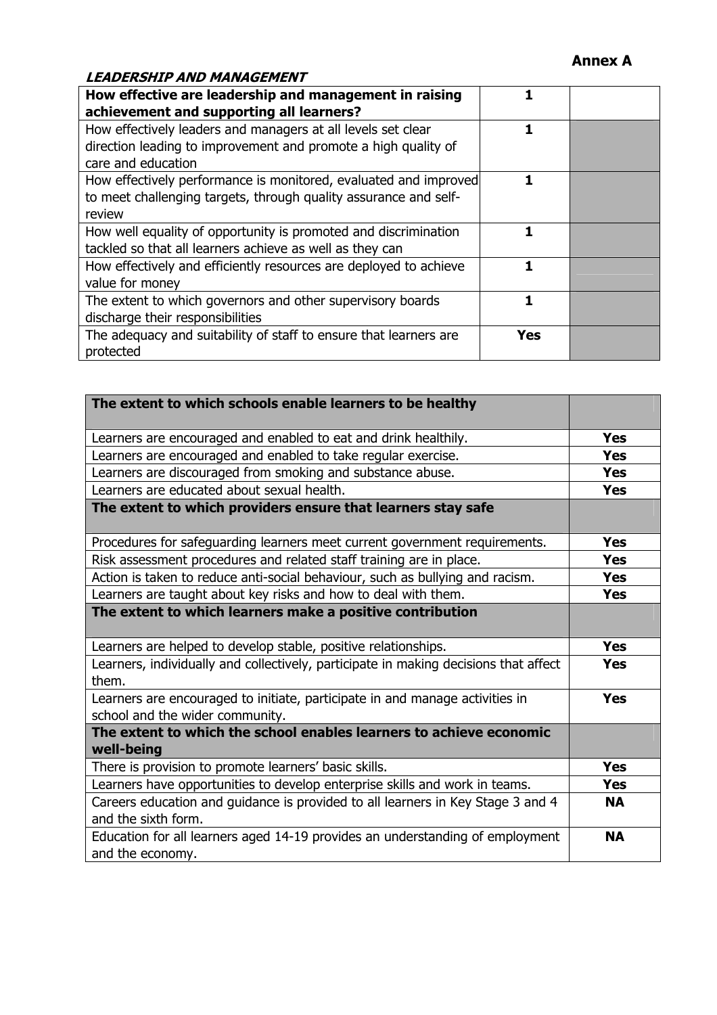#### **Annex A**

#### **LEADERSHIP AND MANAGEMENT**

| How effective are leadership and management in raising            |     |  |
|-------------------------------------------------------------------|-----|--|
| achievement and supporting all learners?                          |     |  |
| How effectively leaders and managers at all levels set clear      |     |  |
| direction leading to improvement and promote a high quality of    |     |  |
| care and education                                                |     |  |
| How effectively performance is monitored, evaluated and improved  |     |  |
| to meet challenging targets, through quality assurance and self-  |     |  |
| review                                                            |     |  |
| How well equality of opportunity is promoted and discrimination   |     |  |
| tackled so that all learners achieve as well as they can          |     |  |
| How effectively and efficiently resources are deployed to achieve |     |  |
| value for money                                                   |     |  |
| The extent to which governors and other supervisory boards        |     |  |
| discharge their responsibilities                                  |     |  |
| The adequacy and suitability of staff to ensure that learners are | Yes |  |
| protected                                                         |     |  |

| The extent to which schools enable learners to be healthy                                                       |            |
|-----------------------------------------------------------------------------------------------------------------|------------|
| Learners are encouraged and enabled to eat and drink healthily.                                                 | <b>Yes</b> |
| Learners are encouraged and enabled to take regular exercise.                                                   | <b>Yes</b> |
| Learners are discouraged from smoking and substance abuse.                                                      | <b>Yes</b> |
| Learners are educated about sexual health.                                                                      | <b>Yes</b> |
| The extent to which providers ensure that learners stay safe                                                    |            |
| Procedures for safeguarding learners meet current government requirements.                                      | <b>Yes</b> |
| Risk assessment procedures and related staff training are in place.                                             | <b>Yes</b> |
| Action is taken to reduce anti-social behaviour, such as bullying and racism.                                   | <b>Yes</b> |
| Learners are taught about key risks and how to deal with them.                                                  | <b>Yes</b> |
| The extent to which learners make a positive contribution                                                       |            |
| Learners are helped to develop stable, positive relationships.                                                  | <b>Yes</b> |
| Learners, individually and collectively, participate in making decisions that affect<br>them.                   | <b>Yes</b> |
| Learners are encouraged to initiate, participate in and manage activities in<br>school and the wider community. | <b>Yes</b> |
| The extent to which the school enables learners to achieve economic<br>well-being                               |            |
| There is provision to promote learners' basic skills.                                                           | <b>Yes</b> |
| Learners have opportunities to develop enterprise skills and work in teams.                                     | <b>Yes</b> |
| Careers education and guidance is provided to all learners in Key Stage 3 and 4                                 | <b>NA</b>  |
| and the sixth form.                                                                                             |            |
| Education for all learners aged 14-19 provides an understanding of employment<br>and the economy.               | <b>NA</b>  |